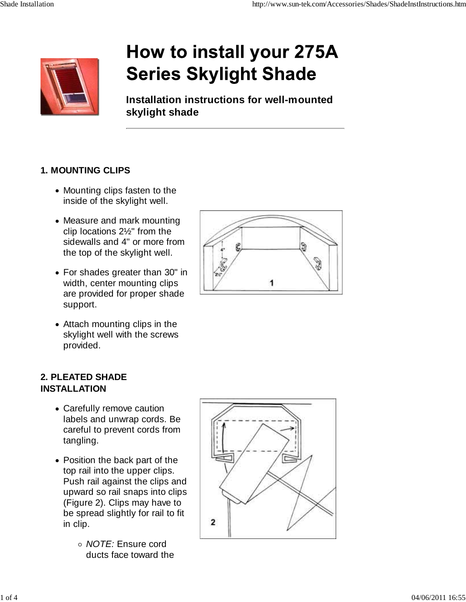

# How to install your 275A **Series Skylight Shade**

**Installation instructions for well-mounted skylight shade**

#### **1. MOUNTING CLIPS**

- Mounting clips fasten to the inside of the skylight well.
- Measure and mark mounting clip locations 2½" from the sidewalls and 4" or more from the top of the skylight well.
- For shades greater than 30" in width, center mounting clips are provided for proper shade support.
- Attach mounting clips in the skylight well with the screws provided.

#### **2. PLEATED SHADE INSTALLATION**

- Carefully remove caution labels and unwrap cords. Be careful to prevent cords from tangling.
- Position the back part of the top rail into the upper clips. Push rail against the clips and upward so rail snaps into clips (Figure 2). Clips may have to be spread slightly for rail to fit in clip.
	- *NOTE:* Ensure cord ducts face toward the



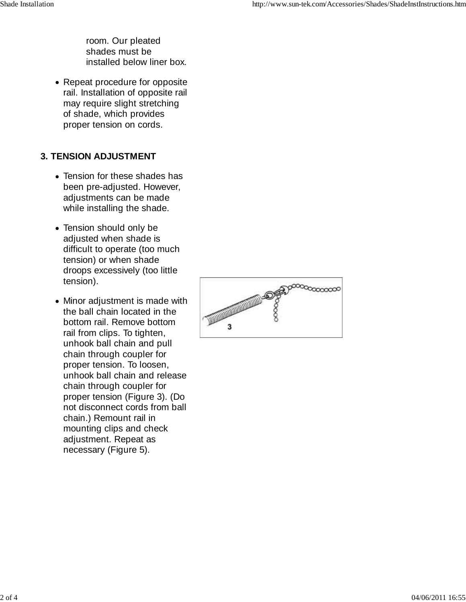room. Our pleated shades must be installed below liner box.

• Repeat procedure for opposite rail. Installation of opposite rail may require slight stretching of shade, which provides proper tension on cords.

## **3. TENSION ADJUSTMENT**

- Tension for these shades has been pre-adjusted. However, adjustments can be made while installing the shade.
- Tension should only be adjusted when shade is difficult to operate (too much tension) or when shade droops excessively (too little tension).
- Minor adjustment is made with the ball chain located in the bottom rail. Remove bottom rail from clips. To tighten, unhook ball chain and pull chain through coupler for proper tension. To loosen, unhook ball chain and release chain through coupler for proper tension (Figure 3). (Do not disconnect cords from ball chain.) Remount rail in mounting clips and check adjustment. Repeat as necessary (Figure 5).

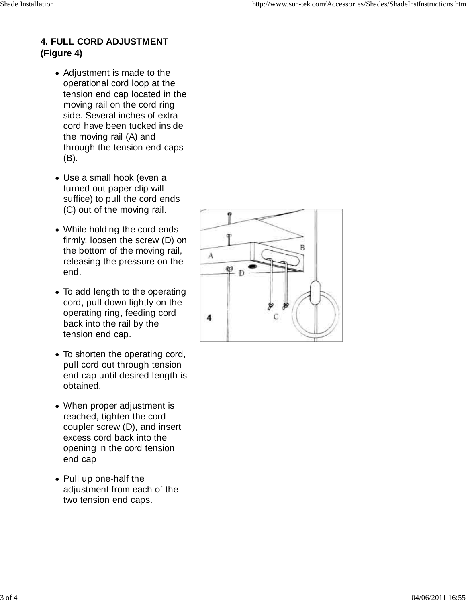## **4. FULL CORD ADJUSTMENT (Figure 4)**

- Adjustment is made to the operational cord loop at the tension end cap located in the moving rail on the cord ring side. Several inches of extra cord have been tucked inside the moving rail (A) and through the tension end caps (B).
- Use a small hook (even a turned out paper clip will suffice) to pull the cord ends (C) out of the moving rail.
- While holding the cord ends firmly, loosen the screw (D) on the bottom of the moving rail, releasing the pressure on the end.
- To add length to the operating cord, pull down lightly on the operating ring, feeding cord back into the rail by the tension end cap.
- To shorten the operating cord, pull cord out through tension end cap until desired length is obtained.
- When proper adjustment is reached, tighten the cord coupler screw (D), and insert excess cord back into the opening in the cord tension end cap
- Pull up one-half the adjustment from each of the two tension end caps.